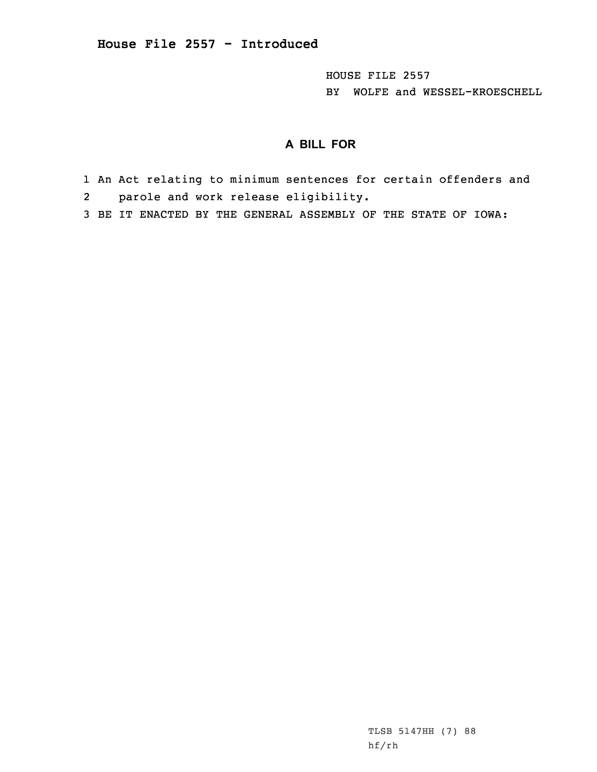HOUSE FILE 2557 BY WOLFE and WESSEL-KROESCHELL

## **A BILL FOR**

- 1 An Act relating to minimum sentences for certain offenders and 2 parole and work release eligibility.
- 3 BE IT ENACTED BY THE GENERAL ASSEMBLY OF THE STATE OF IOWA:

TLSB 5147HH (7) 88 hf/rh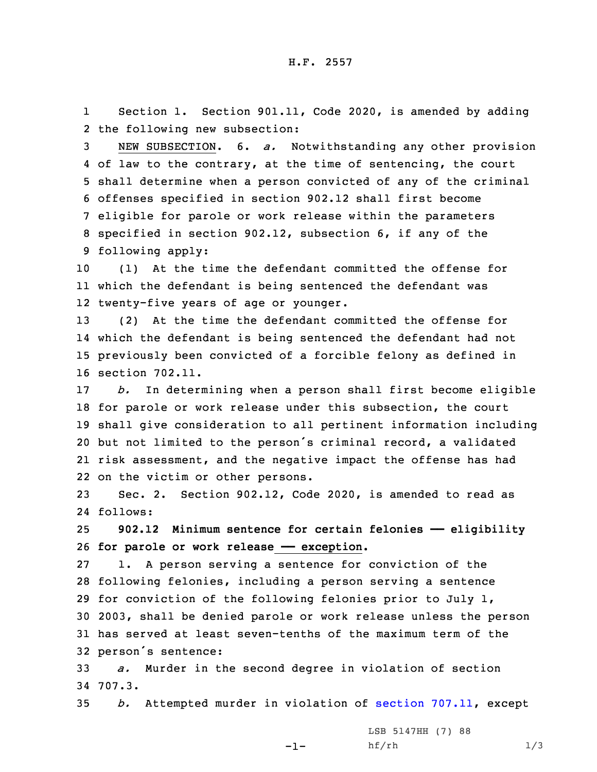1 Section 1. Section 901.11, Code 2020, is amended by adding 2 the following new subsection:

 NEW SUBSECTION. 6. *a.* Notwithstanding any other provision of law to the contrary, at the time of sentencing, the court shall determine when <sup>a</sup> person convicted of any of the criminal offenses specified in section 902.12 shall first become eligible for parole or work release within the parameters specified in section 902.12, subsection 6, if any of the following apply:

10 (1) At the time the defendant committed the offense for 11 which the defendant is being sentenced the defendant was 12 twenty-five years of age or younger.

 (2) At the time the defendant committed the offense for which the defendant is being sentenced the defendant had not previously been convicted of <sup>a</sup> forcible felony as defined in section 702.11.

 *b.* In determining when <sup>a</sup> person shall first become eligible for parole or work release under this subsection, the court shall give consideration to all pertinent information including but not limited to the person's criminal record, <sup>a</sup> validated risk assessment, and the negative impact the offense has had on the victim or other persons.

23 Sec. 2. Section 902.12, Code 2020, is amended to read as 24 follows:

25 **902.12 Minimum sentence for certain felonies —— eligibility** 26 **for parole or work release —— exception.**

 1. <sup>A</sup> person serving <sup>a</sup> sentence for conviction of the following felonies, including <sup>a</sup> person serving <sup>a</sup> sentence for conviction of the following felonies prior to July 1, 2003, shall be denied parole or work release unless the person has served at least seven-tenths of the maximum term of the person's sentence:

33 *a.* Murder in the second degree in violation of section 34 707.3.

35 *b.* Attempted murder in violation of section [707.11](https://www.legis.iowa.gov/docs/code/2020/707.11.pdf), except

-1-

LSB 5147HH (7) 88  $h f / r h$  1/3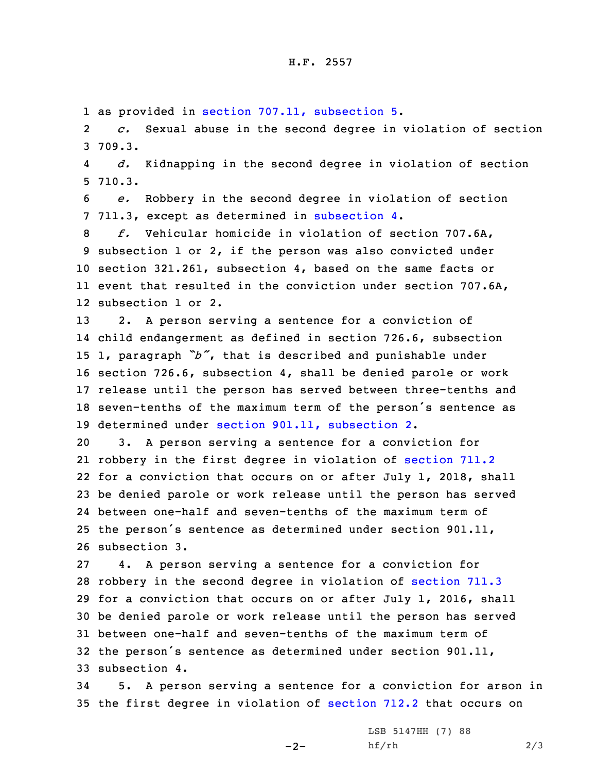1 as provided in section 707.11, [subsection](https://www.legis.iowa.gov/docs/code/2020/707.11.pdf) 5.

2 *c.* Sexual abuse in the second degree in violation of section 3 709.3.

4 *d.* Kidnapping in the second degree in violation of section 5 710.3.

6 *e.* Robbery in the second degree in violation of section 7 711.3, except as determined in [subsection](https://www.legis.iowa.gov/docs/code/2020/902.12.pdf) 4.

 *f.* Vehicular homicide in violation of section 707.6A, subsection 1 or 2, if the person was also convicted under section 321.261, subsection 4, based on the same facts or event that resulted in the conviction under section 707.6A, subsection 1 or 2.

 2. <sup>A</sup> person serving <sup>a</sup> sentence for <sup>a</sup> conviction of child endangerment as defined in section 726.6, subsection 1, paragraph *"b"*, that is described and punishable under section 726.6, subsection 4, shall be denied parole or work release until the person has served between three-tenths and seven-tenths of the maximum term of the person's sentence as determined under section 901.11, [subsection](https://www.legis.iowa.gov/docs/code/2020/901.11.pdf) 2.

 3. <sup>A</sup> person serving <sup>a</sup> sentence for <sup>a</sup> conviction for robbery in the first degree in violation of [section](https://www.legis.iowa.gov/docs/code/2020/711.2.pdf) 711.2 for <sup>a</sup> conviction that occurs on or after July 1, 2018, shall be denied parole or work release until the person has served between one-half and seven-tenths of the maximum term of the person's sentence as determined under section 901.11, subsection 3.

 4. <sup>A</sup> person serving <sup>a</sup> sentence for <sup>a</sup> conviction for robbery in the second degree in violation of [section](https://www.legis.iowa.gov/docs/code/2020/711.3.pdf) 711.3 for <sup>a</sup> conviction that occurs on or after July 1, 2016, shall be denied parole or work release until the person has served between one-half and seven-tenths of the maximum term of the person's sentence as determined under section 901.11, subsection 4.

34 5. <sup>A</sup> person serving <sup>a</sup> sentence for <sup>a</sup> conviction for arson in 35 the first degree in violation of [section](https://www.legis.iowa.gov/docs/code/2020/712.2.pdf) 712.2 that occurs on

 $-2-$ 

LSB 5147HH (7) 88 hf/rh 2/3